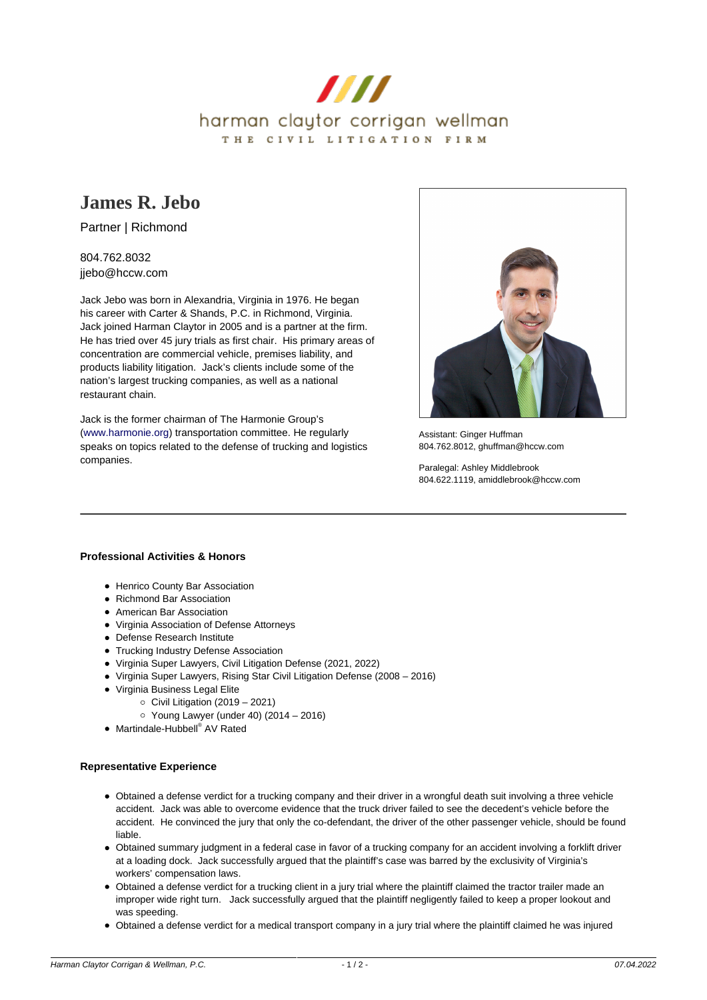

# **[James R. Jebo](https://www.hccw.com/attorney/james-r-jebo/)**

Partner | Richmond

## 804.762.8032 jjebo@hccw.com

Jack Jebo was born in Alexandria, Virginia in 1976. He began his career with Carter & Shands, P.C. in Richmond, Virginia. Jack joined Harman Claytor in 2005 and is a partner at the firm. He has tried over 45 jury trials as first chair. His primary areas of concentration are commercial vehicle, premises liability, and products liability litigation. Jack's clients include some of the nation's largest trucking companies, as well as a national restaurant chain.

Jack is the former chairman of The Harmonie Group's [\(www.harmonie.org](https://www.harmonie.org/)) transportation committee. He regularly speaks on topics related to the defense of trucking and logistics companies.



Assistant: Ginger Huffman 804.762.8012, ghuffman@hccw.com

Paralegal: Ashley Middlebrook 804.622.1119, amiddlebrook@hccw.com

## **Professional Activities & Honors**

- Henrico County Bar Association
- Richmond Bar Association
- American Bar Association
- Virginia Association of Defense Attorneys
- Defense Research Institute
- Trucking Industry Defense Association
- Virginia Super Lawyers, Civil Litigation Defense (2021, 2022)
- Virginia Super Lawyers, Rising Star Civil Litigation Defense (2008 2016)
- Virginia Business Legal Elite
	- $\circ$  Civil Litigation (2019 2021)
	- $\circ$  Young Lawyer (under 40) (2014 2016)
- Martindale-Hubbell® AV Rated

#### **Representative Experience**

- Obtained a defense verdict for a trucking company and their driver in a wrongful death suit involving a three vehicle accident. Jack was able to overcome evidence that the truck driver failed to see the decedent's vehicle before the accident. He convinced the jury that only the co-defendant, the driver of the other passenger vehicle, should be found liable.
- Obtained summary judgment in a federal case in favor of a trucking company for an accident involving a forklift driver at a loading dock. Jack successfully argued that the plaintiff's case was barred by the exclusivity of Virginia's workers' compensation laws.
- Obtained a defense verdict for a trucking client in a jury trial where the plaintiff claimed the tractor trailer made an improper wide right turn. Jack successfully argued that the plaintiff negligently failed to keep a proper lookout and was speeding.
- Obtained a defense verdict for a medical transport company in a jury trial where the plaintiff claimed he was injured